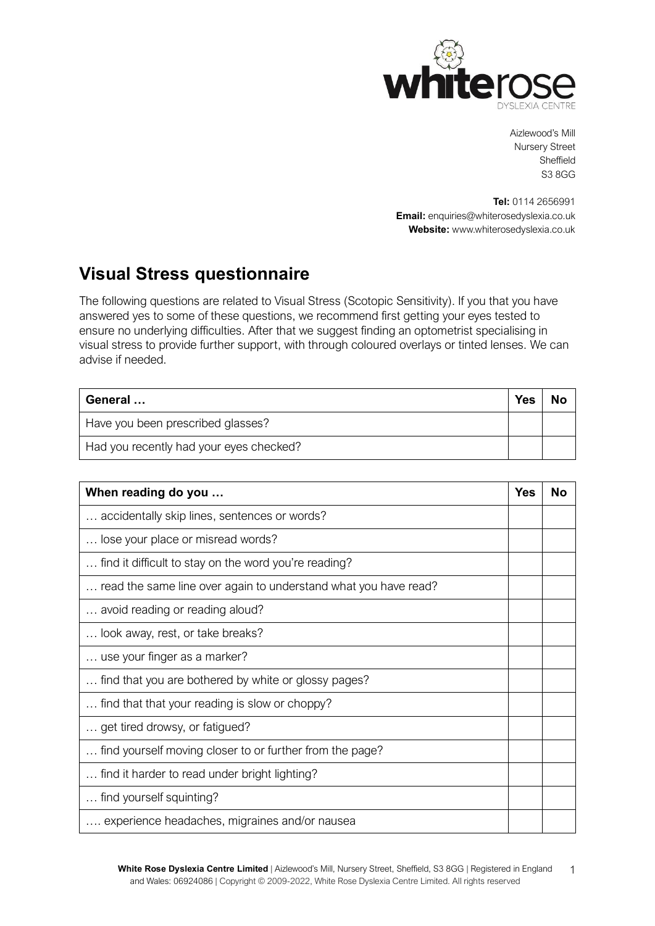

Aizlewood's Mill Nursery Street Sheffield S3 8GG

**Tel:** 0114 2656991 **Email:** [enquiries@whiterosedyslexia.co.uk](mailto:enquiries@whiterosedyslexia.co.uk) **Website:** ww[w.whiterosedyslexia.co.uk](http://www.whiterosedyslexia.co.uk/)

## **Visual Stress questionnaire**

The following questions are related to Visual Stress (Scotopic Sensitivity). If you that you have answered yes to some of these questions, we recommend first getting your eyes tested to ensure no underlying difficulties. After that we suggest finding an optometrist specialising in visual stress to provide further support, with through coloured overlays or tinted lenses. We can advise if needed.

| General                                 | <b>Yes</b> |  |
|-----------------------------------------|------------|--|
| Have you been prescribed glasses?       |            |  |
| Had you recently had your eyes checked? |            |  |

| When reading do you                                             | Yes | N٥ |
|-----------------------------------------------------------------|-----|----|
| accidentally skip lines, sentences or words?                    |     |    |
| lose your place or misread words?                               |     |    |
| find it difficult to stay on the word you're reading?           |     |    |
| read the same line over again to understand what you have read? |     |    |
| avoid reading or reading aloud?                                 |     |    |
| look away, rest, or take breaks?                                |     |    |
| use your finger as a marker?                                    |     |    |
| find that you are bothered by white or glossy pages?            |     |    |
| find that that your reading is slow or choppy?                  |     |    |
| get tired drowsy, or fatigued?                                  |     |    |
| find yourself moving closer to or further from the page?        |     |    |
| find it harder to read under bright lighting?                   |     |    |
| find yourself squinting?                                        |     |    |
| experience headaches, migraines and/or nausea                   |     |    |